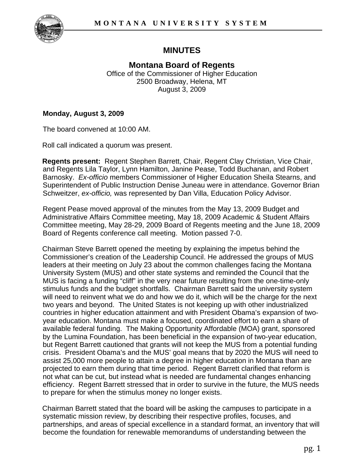

# **MINUTES**

**Montana Board of Regents**  Office of the Commissioner of Higher Education 2500 Broadway, Helena, MT August 3, 2009

#### **Monday, August 3, 2009**

The board convened at 10:00 AM.

Roll call indicated a quorum was present.

**Regents present:** Regent Stephen Barrett, Chair, Regent Clay Christian, Vice Chair, and Regents Lila Taylor, Lynn Hamilton, Janine Pease, Todd Buchanan, and Robert Barnosky. *Ex-officio* members Commissioner of Higher Education Sheila Stearns, and Superintendent of Public Instruction Denise Juneau were in attendance. Governor Brian Schweitzer, *ex-officio,* was represented by Dan Villa, Education Policy Advisor.

Regent Pease moved approval of the minutes from the May 13, 2009 Budget and Administrative Affairs Committee meeting, May 18, 2009 Academic & Student Affairs Committee meeting, May 28-29, 2009 Board of Regents meeting and the June 18, 2009 Board of Regents conference call meeting. Motion passed 7-0.

Chairman Steve Barrett opened the meeting by explaining the impetus behind the Commissioner's creation of the Leadership Council. He addressed the groups of MUS leaders at their meeting on July 23 about the common challenges facing the Montana University System (MUS) and other state systems and reminded the Council that the MUS is facing a funding "cliff" in the very near future resulting from the one-time-only stimulus funds and the budget shortfalls. Chairman Barrett said the university system will need to reinvent what we do and how we do it, which will be the charge for the next two years and beyond. The United States is not keeping up with other industrialized countries in higher education attainment and with President Obama's expansion of twoyear education. Montana must make a focused, coordinated effort to earn a share of available federal funding. The Making Opportunity Affordable (MOA) grant, sponsored by the Lumina Foundation, has been beneficial in the expansion of two-year education, but Regent Barrett cautioned that grants will not keep the MUS from a potential funding crisis. President Obama's and the MUS' goal means that by 2020 the MUS will need to assist 25,000 more people to attain a degree in higher education in Montana than are projected to earn them during that time period. Regent Barrett clarified that reform is not what can be cut, but instead what is needed are fundamental changes enhancing efficiency. Regent Barrett stressed that in order to survive in the future, the MUS needs to prepare for when the stimulus money no longer exists.

Chairman Barrett stated that the board will be asking the campuses to participate in a systematic mission review, by describing their respective profiles, focuses, and partnerships, and areas of special excellence in a standard format, an inventory that will become the foundation for renewable memorandums of understanding between the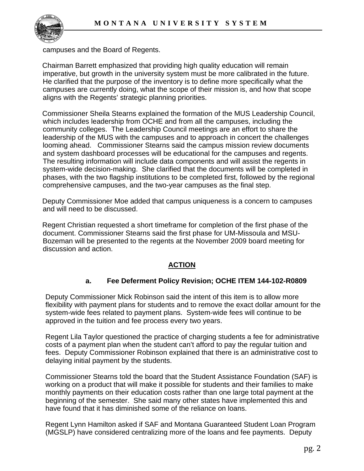

campuses and the Board of Regents.

Chairman Barrett emphasized that providing high quality education will remain imperative, but growth in the university system must be more calibrated in the future. He clarified that the purpose of the inventory is to define more specifically what the campuses are currently doing, what the scope of their mission is, and how that scope aligns with the Regents' strategic planning priorities.

Commissioner Sheila Stearns explained the formation of the MUS Leadership Council, which includes leadership from OCHE and from all the campuses, including the community colleges. The Leadership Council meetings are an effort to share the leadership of the MUS with the campuses and to approach in concert the challenges looming ahead. Commissioner Stearns said the campus mission review documents and system dashboard processes will be educational for the campuses and regents. The resulting information will include data components and will assist the regents in system-wide decision-making. She clarified that the documents will be completed in phases, with the two flagship institutions to be completed first, followed by the regional comprehensive campuses, and the two-year campuses as the final step.

Deputy Commissioner Moe added that campus uniqueness is a concern to campuses and will need to be discussed.

Regent Christian requested a short timeframe for completion of the first phase of the document. Commissioner Stearns said the first phase for UM-Missoula and MSU-Bozeman will be presented to the regents at the November 2009 board meeting for discussion and action.

## **ACTION**

#### **a. Fee Deferment Policy Revision; OCHE ITEM 144-102-R0809**

Deputy Commissioner Mick Robinson said the intent of this item is to allow more flexibility with payment plans for students and to remove the exact dollar amount for the system-wide fees related to payment plans. System-wide fees will continue to be approved in the tuition and fee process every two years.

Regent Lila Taylor questioned the practice of charging students a fee for administrative costs of a payment plan when the student can't afford to pay the regular tuition and fees. Deputy Commissioner Robinson explained that there is an administrative cost to delaying initial payment by the students.

Commissioner Stearns told the board that the Student Assistance Foundation (SAF) is working on a product that will make it possible for students and their families to make monthly payments on their education costs rather than one large total payment at the beginning of the semester. She said many other states have implemented this and have found that it has diminished some of the reliance on loans.

Regent Lynn Hamilton asked if SAF and Montana Guaranteed Student Loan Program (MGSLP) have considered centralizing more of the loans and fee payments. Deputy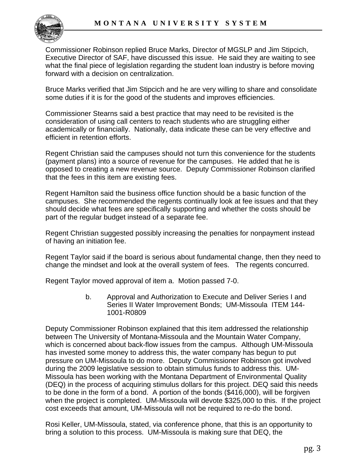

Commissioner Robinson replied Bruce Marks, Director of MGSLP and Jim Stipcich, Executive Director of SAF, have discussed this issue. He said they are waiting to see what the final piece of legislation regarding the student loan industry is before moving forward with a decision on centralization.

Bruce Marks verified that Jim Stipcich and he are very willing to share and consolidate some duties if it is for the good of the students and improves efficiencies.

Commissioner Stearns said a best practice that may need to be revisited is the consideration of using call centers to reach students who are struggling either academically or financially. Nationally, data indicate these can be very effective and efficient in retention efforts.

Regent Christian said the campuses should not turn this convenience for the students (payment plans) into a source of revenue for the campuses. He added that he is opposed to creating a new revenue source. Deputy Commissioner Robinson clarified that the fees in this item are existing fees.

Regent Hamilton said the business office function should be a basic function of the campuses. She recommended the regents continually look at fee issues and that they should decide what fees are specifically supporting and whether the costs should be part of the regular budget instead of a separate fee.

Regent Christian suggested possibly increasing the penalties for nonpayment instead of having an initiation fee.

Regent Taylor said if the board is serious about fundamental change, then they need to change the mindset and look at the overall system of fees. The regents concurred.

Regent Taylor moved approval of item a. Motion passed 7-0.

b. Approval and Authorization to Execute and Deliver Series I and Series II Water Improvement Bonds; UM-Missoula ITEM 144- 1001-R0809

Deputy Commissioner Robinson explained that this item addressed the relationship between The University of Montana-Missoula and the Mountain Water Company, which is concerned about back-flow issues from the campus. Although UM-Missoula has invested some money to address this, the water company has begun to put pressure on UM-Missoula to do more. Deputy Commissioner Robinson got involved during the 2009 legislative session to obtain stimulus funds to address this. UM-Missoula has been working with the Montana Department of Environmental Quality (DEQ) in the process of acquiring stimulus dollars for this project. DEQ said this needs to be done in the form of a bond. A portion of the bonds (\$416,000), will be forgiven when the project is completed. UM-Missoula will devote \$325,000 to this. If the project cost exceeds that amount, UM-Missoula will not be required to re-do the bond.

Rosi Keller, UM-Missoula, stated, via conference phone, that this is an opportunity to bring a solution to this process. UM-Missoula is making sure that DEQ, the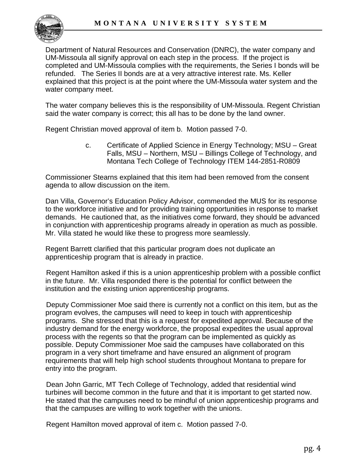

Department of Natural Resources and Conservation (DNRC), the water company and UM-Missoula all signify approval on each step in the process. If the project is completed and UM-Missoula complies with the requirements, the Series I bonds will be refunded. The Series II bonds are at a very attractive interest rate. Ms. Keller explained that this project is at the point where the UM-Missoula water system and the water company meet.

The water company believes this is the responsibility of UM-Missoula. Regent Christian said the water company is correct; this all has to be done by the land owner.

Regent Christian moved approval of item b. Motion passed 7-0.

c. Certificate of Applied Science in Energy Technology; MSU – Great Falls, MSU – Northern, MSU – Billings College of Technology, and Montana Tech College of Technology ITEM 144-2851-R0809

Commissioner Stearns explained that this item had been removed from the consent agenda to allow discussion on the item.

Dan Villa, Governor's Education Policy Advisor, commended the MUS for its response to the workforce initiative and for providing training opportunities in response to market demands. He cautioned that, as the initiatives come forward, they should be advanced in conjunction with apprenticeship programs already in operation as much as possible. Mr. Villa stated he would like these to progress more seamlessly.

Regent Barrett clarified that this particular program does not duplicate an apprenticeship program that is already in practice.

Regent Hamilton asked if this is a union apprenticeship problem with a possible conflict in the future. Mr. Villa responded there is the potential for conflict between the institution and the existing union apprenticeship programs.

Deputy Commissioner Moe said there is currently not a conflict on this item, but as the program evolves, the campuses will need to keep in touch with apprenticeship programs. She stressed that this is a request for expedited approval. Because of the industry demand for the energy workforce, the proposal expedites the usual approval process with the regents so that the program can be implemented as quickly as possible. Deputy Commissioner Moe said the campuses have collaborated on this program in a very short timeframe and have ensured an alignment of program requirements that will help high school students throughout Montana to prepare for entry into the program.

Dean John Garric, MT Tech College of Technology, added that residential wind turbines will become common in the future and that it is important to get started now. He stated that the campuses need to be mindful of union apprenticeship programs and that the campuses are willing to work together with the unions.

Regent Hamilton moved approval of item c. Motion passed 7-0.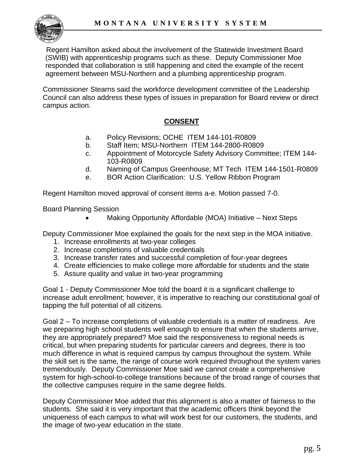

Regent Hamilton asked about the involvement of the Statewide Investment Board (SWIB) with apprenticeship programs such as these. Deputy Commissioner Moe responded that collaboration is still happening and cited the example of the recent agreement between MSU-Northern and a plumbing apprenticeship program.

Commissioner Stearns said the workforce development committee of the Leadership Council can also address these types of issues in preparation for Board review or direct campus action.

## **CONSENT**

- a. Policy Revisions; OCHE ITEM 144-101-R0809
- b. Staff Item; MSU-Northern ITEM 144-2800-R0809
- c. Appointment of Motorcycle Safety Advisory Committee; ITEM 144- 103-R0809
- d. Naming of Campus Greenhouse; MT Tech ITEM 144-1501-R0809
- e. BOR Action Clarification: U.S. Yellow Ribbon Program

Regent Hamilton moved approval of consent items a-e. Motion passed 7-0.

Board Planning Session

Making Opportunity Affordable (MOA) Initiative – Next Steps

Deputy Commissioner Moe explained the goals for the next step in the MOA initiative.

- 1. Increase enrollments at two-year colleges
- 2. Increase completions of valuable credentials
- 3. Increase transfer rates and successful completion of four-year degrees
- 4. Create efficiencies to make college more affordable for students and the state
- 5. Assure quality and value in two-year programming

Goal 1 - Deputy Commissioner Moe told the board it is a significant challenge to increase adult enrollment; however, it is imperative to reaching our constitutional goal of tapping the full potential of all citizens.

Goal 2 – To increase completions of valuable credentials is a matter of readiness. Are we preparing high school students well enough to ensure that when the students arrive, they are appropriately prepared? Moe said the responsiveness to regional needs is critical, but when preparing students for particular careers and degrees, there is too much difference in what is required campus by campus throughout the system. While the skill set is the same, the range of course work required throughout the system varies tremendously. Deputy Commissioner Moe said we cannot create a comprehensive system for high-school-to-college transitions because of the broad range of courses that the collective campuses require in the same degree fields.

Deputy Commissioner Moe added that this alignment is also a matter of fairness to the students. She said it is very important that the academic officers think beyond the uniqueness of each campus to what will work best for our customers, the students, and the image of two-year education in the state.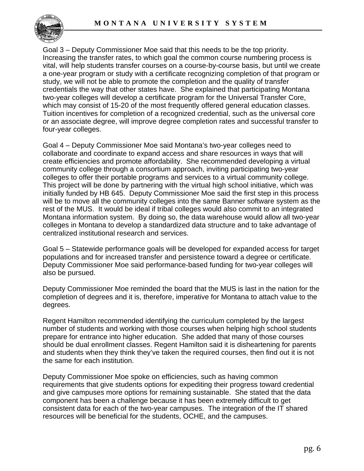

Goal 3 – Deputy Commissioner Moe said that this needs to be the top priority. Increasing the transfer rates, to which goal the common course numbering process is vital, will help students transfer courses on a course-by-course basis, but until we create a one-year program or study with a certificate recognizing completion of that program or study, we will not be able to promote the completion and the quality of transfer credentials the way that other states have. She explained that participating Montana two-year colleges will develop a certificate program for the Universal Transfer Core, which may consist of 15-20 of the most frequently offered general education classes. Tuition incentives for completion of a recognized credential, such as the universal core or an associate degree, will improve degree completion rates and successful transfer to four-year colleges.

Goal 4 – Deputy Commissioner Moe said Montana's two-year colleges need to collaborate and coordinate to expand access and share resources in ways that will create efficiencies and promote affordability. She recommended developing a virtual community college through a consortium approach, inviting participating two-year colleges to offer their portable programs and services to a virtual community college. This project will be done by partnering with the virtual high school initiative, which was initially funded by HB 645. Deputy Commissioner Moe said the first step in this process will be to move all the community colleges into the same Banner software system as the rest of the MUS. It would be ideal if tribal colleges would also commit to an integrated Montana information system. By doing so, the data warehouse would allow all two-year colleges in Montana to develop a standardized data structure and to take advantage of centralized institutional research and services.

Goal 5 – Statewide performance goals will be developed for expanded access for target populations and for increased transfer and persistence toward a degree or certificate. Deputy Commissioner Moe said performance-based funding for two-year colleges will also be pursued.

Deputy Commissioner Moe reminded the board that the MUS is last in the nation for the completion of degrees and it is, therefore, imperative for Montana to attach value to the degrees.

Regent Hamilton recommended identifying the curriculum completed by the largest number of students and working with those courses when helping high school students prepare for entrance into higher education. She added that many of those courses should be dual enrollment classes. Regent Hamilton said it is disheartening for parents and students when they think they've taken the required courses, then find out it is not the same for each institution.

Deputy Commissioner Moe spoke on efficiencies, such as having common requirements that give students options for expediting their progress toward credential and give campuses more options for remaining sustainable. She stated that the data component has been a challenge because it has been extremely difficult to get consistent data for each of the two-year campuses. The integration of the IT shared resources will be beneficial for the students, OCHE, and the campuses.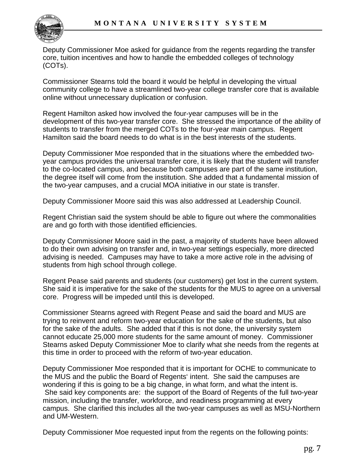

Deputy Commissioner Moe asked for guidance from the regents regarding the transfer core, tuition incentives and how to handle the embedded colleges of technology (COTs).

Commissioner Stearns told the board it would be helpful in developing the virtual community college to have a streamlined two-year college transfer core that is available online without unnecessary duplication or confusion.

Regent Hamilton asked how involved the four-year campuses will be in the development of this two-year transfer core. She stressed the importance of the ability of students to transfer from the merged COTs to the four-year main campus. Regent Hamilton said the board needs to do what is in the best interests of the students.

Deputy Commissioner Moe responded that in the situations where the embedded twoyear campus provides the universal transfer core, it is likely that the student will transfer to the co-located campus, and because both campuses are part of the same institution, the degree itself will come from the institution. She added that a fundamental mission of the two-year campuses, and a crucial MOA initiative in our state is transfer.

Deputy Commissioner Moore said this was also addressed at Leadership Council.

Regent Christian said the system should be able to figure out where the commonalities are and go forth with those identified efficiencies.

Deputy Commissioner Moore said in the past, a majority of students have been allowed to do their own advising on transfer and, in two-year settings especially, more directed advising is needed. Campuses may have to take a more active role in the advising of students from high school through college.

Regent Pease said parents and students (our customers) get lost in the current system. She said it is imperative for the sake of the students for the MUS to agree on a universal core. Progress will be impeded until this is developed.

Commissioner Stearns agreed with Regent Pease and said the board and MUS are trying to reinvent and reform two-year education for the sake of the students, but also for the sake of the adults. She added that if this is not done, the university system cannot educate 25,000 more students for the same amount of money. Commissioner Stearns asked Deputy Commissioner Moe to clarify what she needs from the regents at this time in order to proceed with the reform of two-year education.

Deputy Commissioner Moe responded that it is important for OCHE to communicate to the MUS and the public the Board of Regents' intent. She said the campuses are wondering if this is going to be a big change, in what form, and what the intent is. She said key components are: the support of the Board of Regents of the full two-year mission, including the transfer, workforce, and readiness programming at every campus. She clarified this includes all the two-year campuses as well as MSU-Northern and UM-Western.

Deputy Commissioner Moe requested input from the regents on the following points: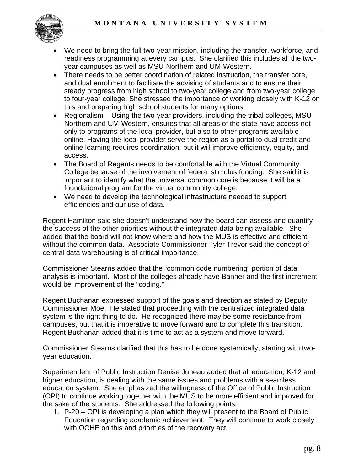

- We need to bring the full two-year mission, including the transfer, workforce, and readiness programming at every campus. She clarified this includes all the twoyear campuses as well as MSU-Northern and UM-Western.
- There needs to be better coordination of related instruction, the transfer core, and dual enrollment to facilitate the advising of students and to ensure their steady progress from high school to two-year college and from two-year college to four-year college. She stressed the importance of working closely with K-12 on this and preparing high school students for many options.
- Regionalism Using the two-year providers, including the tribal colleges, MSU-Northern and UM-Western, ensures that all areas of the state have access not only to programs of the local provider, but also to other programs available online. Having the local provider serve the region as a portal to dual credit and online learning requires coordination, but it will improve efficiency, equity, and access.
- The Board of Regents needs to be comfortable with the Virtual Community College because of the involvement of federal stimulus funding. She said it is important to identify what the universal common core is because it will be a foundational program for the virtual community college.
- We need to develop the technological infrastructure needed to support efficiencies and our use of data.

Regent Hamilton said she doesn't understand how the board can assess and quantify the success of the other priorities without the integrated data being available. She added that the board will not know where and how the MUS is effective and efficient without the common data. Associate Commissioner Tyler Trevor said the concept of central data warehousing is of critical importance.

Commissioner Stearns added that the "common code numbering" portion of data analysis is important. Most of the colleges already have Banner and the first increment would be improvement of the "coding."

Regent Buchanan expressed support of the goals and direction as stated by Deputy Commissioner Moe. He stated that proceeding with the centralized integrated data system is the right thing to do. He recognized there may be some resistance from campuses, but that it is imperative to move forward and to complete this transition. Regent Buchanan added that it is time to act as a system and move forward.

Commissioner Stearns clarified that this has to be done systemically, starting with twoyear education.

Superintendent of Public Instruction Denise Juneau added that all education, K-12 and higher education, is dealing with the same issues and problems with a seamless education system. She emphasized the willingness of the Office of Public Instruction (OPI) to continue working together with the MUS to be more efficient and improved for the sake of the students. She addressed the following points:

1. P-20 – OPI is developing a plan which they will present to the Board of Public Education regarding academic achievement. They will continue to work closely with OCHE on this and priorities of the recovery act.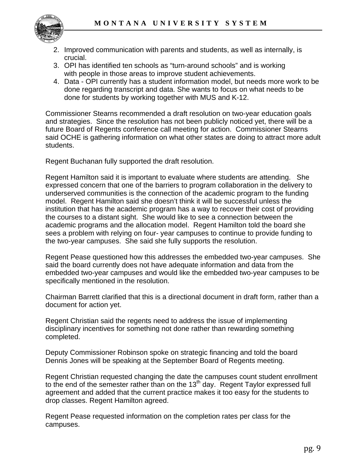

- 2. Improved communication with parents and students, as well as internally, is crucial.
- 3. OPI has identified ten schools as "turn-around schools" and is working with people in those areas to improve student achievements.
- 4. Data OPI currently has a student information model, but needs more work to be done regarding transcript and data. She wants to focus on what needs to be done for students by working together with MUS and K-12.

Commissioner Stearns recommended a draft resolution on two-year education goals and strategies. Since the resolution has not been publicly noticed yet, there will be a future Board of Regents conference call meeting for action. Commissioner Stearns said OCHE is gathering information on what other states are doing to attract more adult students.

Regent Buchanan fully supported the draft resolution.

Regent Hamilton said it is important to evaluate where students are attending. She expressed concern that one of the barriers to program collaboration in the delivery to underserved communities is the connection of the academic program to the funding model. Regent Hamilton said she doesn't think it will be successful unless the institution that has the academic program has a way to recover their cost of providing the courses to a distant sight. She would like to see a connection between the academic programs and the allocation model. Regent Hamilton told the board she sees a problem with relying on four- year campuses to continue to provide funding to the two-year campuses. She said she fully supports the resolution.

Regent Pease questioned how this addresses the embedded two-year campuses. She said the board currently does not have adequate information and data from the embedded two-year campuses and would like the embedded two-year campuses to be specifically mentioned in the resolution.

Chairman Barrett clarified that this is a directional document in draft form, rather than a document for action yet.

Regent Christian said the regents need to address the issue of implementing disciplinary incentives for something not done rather than rewarding something completed.

Deputy Commissioner Robinson spoke on strategic financing and told the board Dennis Jones will be speaking at the September Board of Regents meeting.

Regent Christian requested changing the date the campuses count student enrollment to the end of the semester rather than on the 13<sup>th</sup> day. Regent Taylor expressed full agreement and added that the current practice makes it too easy for the students to drop classes. Regent Hamilton agreed.

Regent Pease requested information on the completion rates per class for the campuses.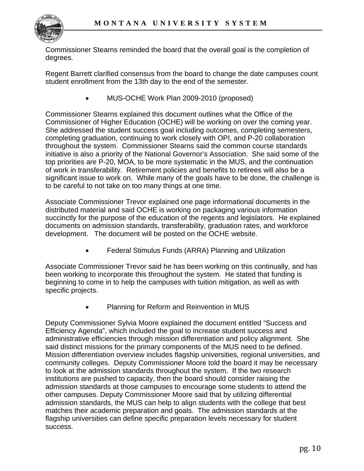

Commissioner Stearns reminded the board that the overall goal is the completion of degrees.

Regent Barrett clarified consensus from the board to change the date campuses count student enrollment from the 13th day to the end of the semester.

• MUS-OCHE Work Plan 2009-2010 (proposed)

Commissioner Stearns explained this document outlines what the Office of the Commissioner of Higher Education (OCHE) will be working on over the coming year. She addressed the student success goal including outcomes, completing semesters, completing graduation, continuing to work closely with OPI, and P-20 collaboration throughout the system. Commissioner Stearns said the common course standards initiative is also a priority of the National Governor's Association. She said some of the top priorities are P-20, MOA, to be more systematic in the MUS, and the continuation of work in transferability. Retirement policies and benefits to retirees will also be a significant issue to work on. While many of the goals have to be done, the challenge is to be careful to not take on too many things at one time.

Associate Commissioner Trevor explained one page informational documents in the distributed material and said OCHE is working on packaging various information succinctly for the purpose of the education of the regents and legislators. He explained documents on admission standards, transferability, graduation rates, and workforce development. The document will be posted on the OCHE website.

• Federal Stimulus Funds (ARRA) Planning and Utilization

Associate Commissioner Trevor said he has been working on this continually, and has been working to incorporate this throughout the system. He stated that funding is beginning to come in to help the campuses with tuition mitigation, as well as with specific projects.

• Planning for Reform and Reinvention in MUS

Deputy Commissioner Sylvia Moore explained the document entitled "Success and Efficiency Agenda", which included the goal to increase student success and administrative efficiencies through mission differentiation and policy alignment. She said distinct missions for the primary components of the MUS need to be defined. Mission differentiation overview includes flagship universities, regional universities, and community colleges. Deputy Commissioner Moore told the board it may be necessary to look at the admission standards throughout the system. If the two research institutions are pushed to capacity, then the board should consider raising the admission standards at those campuses to encourage some students to attend the other campuses. Deputy Commissioner Moore said that by utilizing differential admission standards, the MUS can help to align students with the college that best matches their academic preparation and goals. The admission standards at the flagship universities can define specific preparation levels necessary for student success.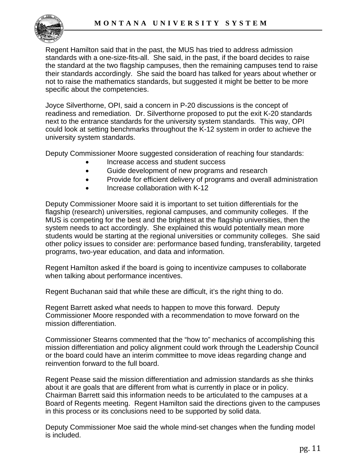

Regent Hamilton said that in the past, the MUS has tried to address admission standards with a one-size-fits-all. She said, in the past, if the board decides to raise the standard at the two flagship campuses, then the remaining campuses tend to raise their standards accordingly. She said the board has talked for years about whether or not to raise the mathematics standards, but suggested it might be better to be more specific about the competencies.

Joyce Silverthorne, OPI, said a concern in P-20 discussions is the concept of readiness and remediation. Dr. Silverthorne proposed to put the exit K-20 standards next to the entrance standards for the university system standards. This way, OPI could look at setting benchmarks throughout the K-12 system in order to achieve the university system standards.

Deputy Commissioner Moore suggested consideration of reaching four standards:

- Increase access and student success
- Guide development of new programs and research
- Provide for efficient delivery of programs and overall administration
- Increase collaboration with K-12

Deputy Commissioner Moore said it is important to set tuition differentials for the flagship (research) universities, regional campuses, and community colleges. If the MUS is competing for the best and the brightest at the flagship universities, then the system needs to act accordingly. She explained this would potentially mean more students would be starting at the regional universities or community colleges. She said other policy issues to consider are: performance based funding, transferability, targeted programs, two-year education, and data and information.

Regent Hamilton asked if the board is going to incentivize campuses to collaborate when talking about performance incentives.

Regent Buchanan said that while these are difficult, it's the right thing to do.

Regent Barrett asked what needs to happen to move this forward. Deputy Commissioner Moore responded with a recommendation to move forward on the mission differentiation.

Commissioner Stearns commented that the "how to" mechanics of accomplishing this mission differentiation and policy alignment could work through the Leadership Council or the board could have an interim committee to move ideas regarding change and reinvention forward to the full board.

Regent Pease said the mission differentiation and admission standards as she thinks about it are goals that are different from what is currently in place or in policy. Chairman Barrett said this information needs to be articulated to the campuses at a Board of Regents meeting. Regent Hamilton said the directions given to the campuses in this process or its conclusions need to be supported by solid data.

Deputy Commissioner Moe said the whole mind-set changes when the funding model is included.